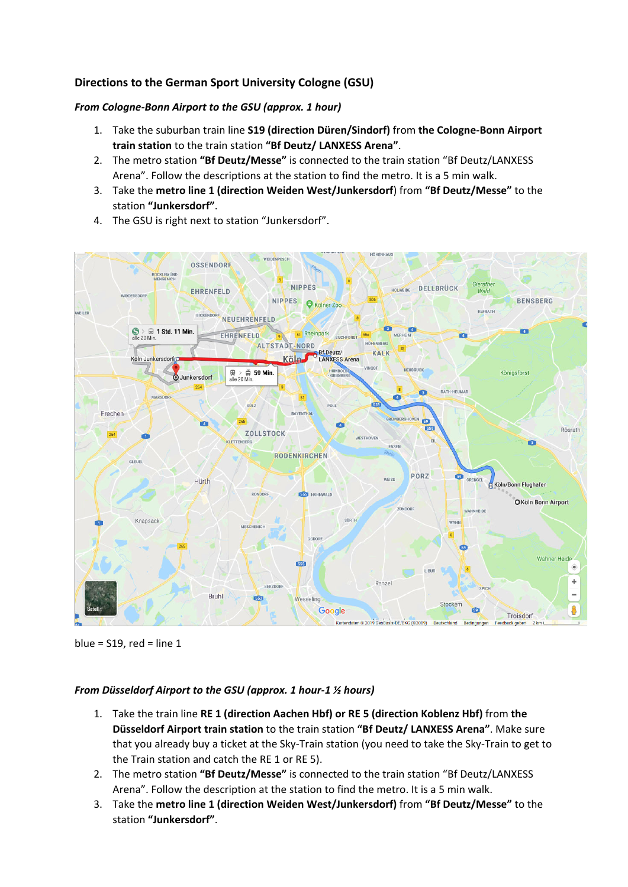# **Directions to the German Sport University Cologne (GSU)**

### *From Cologne‐Bonn Airport to the GSU (approx. 1 hour)*

- 1. Take the suburban train line **S19 (direction Düren/Sindorf)** from **the Cologne‐Bonn Airport train station** to the train station **"Bf Deutz/ LANXESS Arena"**.
- 2. The metro station **"Bf Deutz/Messe"** is connected to the train station "Bf Deutz/LANXESS Arena". Follow the descriptions at the station to find the metro. It is a 5 min walk.
- 3. Take the **metro line 1 (direction Weiden West/Junkersdorf**) from **"Bf Deutz/Messe"** to the station **"Junkersdorf"**.
- 4. The GSU is right next to station "Junkersdorf".



blue =  $S19$ , red = line 1

#### *From Düsseldorf Airport to the GSU (approx. 1 hour‐1 ½ hours)*

- 1. Take the train line **RE 1 (direction Aachen Hbf) or RE 5 (direction Koblenz Hbf)** from **the Düsseldorf Airport train station** to the train station **"Bf Deutz/ LANXESS Arena"**. Make sure that you already buy a ticket at the Sky‐Train station (you need to take the Sky‐Train to get to the Train station and catch the RE 1 or RE 5).
- 2. The metro station **"Bf Deutz/Messe"** is connected to the train station "Bf Deutz/LANXESS Arena". Follow the description at the station to find the metro. It is a 5 min walk.
- 3. Take the **metro line 1 (direction Weiden West/Junkersdorf)** from **"Bf Deutz/Messe"** to the station **"Junkersdorf"**.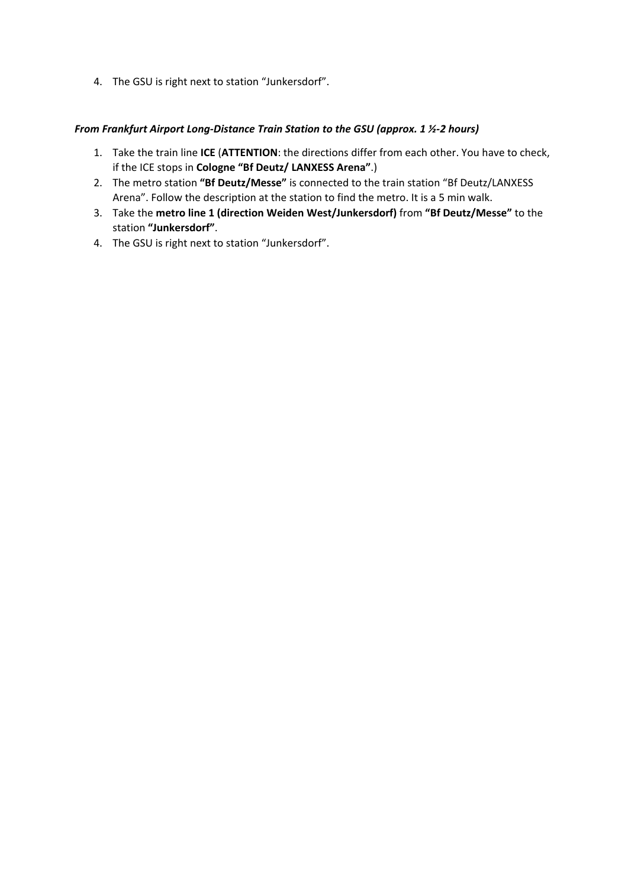4. The GSU is right next to station "Junkersdorf".

#### *From Frankfurt Airport Long‐Distance Train Station to the GSU (approx. 1 ½‐2 hours)*

- 1. Take the train line **ICE** (**ATTENTION**: the directions differ from each other. You have to check, if the ICE stops in **Cologne "Bf Deutz/ LANXESS Arena"**.)
- 2. The metro station **"Bf Deutz/Messe"** is connected to the train station "Bf Deutz/LANXESS Arena". Follow the description at the station to find the metro. It is a 5 min walk.
- 3. Take the **metro line 1 (direction Weiden West/Junkersdorf)** from **"Bf Deutz/Messe"** to the station **"Junkersdorf"**.
- 4. The GSU is right next to station "Junkersdorf".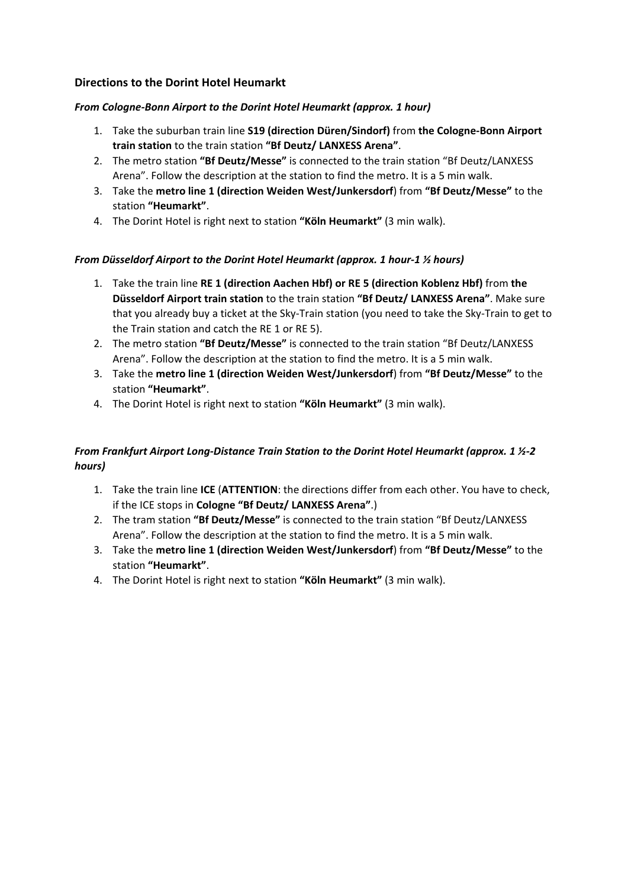### **Directions to the Dorint Hotel Heumarkt**

## *From Cologne‐Bonn Airport to the Dorint Hotel Heumarkt (approx. 1 hour)*

- 1. Take the suburban train line **S19 (direction Düren/Sindorf)** from **the Cologne‐Bonn Airport train station** to the train station **"Bf Deutz/ LANXESS Arena"**.
- 2. The metro station **"Bf Deutz/Messe"** is connected to the train station "Bf Deutz/LANXESS Arena". Follow the description at the station to find the metro. It is a 5 min walk.
- 3. Take the **metro line 1 (direction Weiden West/Junkersdorf**) from **"Bf Deutz/Messe"** to the station **"Heumarkt"**.
- 4. The Dorint Hotel is right next to station **"Köln Heumarkt"** (3 min walk).

# *From Düsseldorf Airport to the Dorint Hotel Heumarkt (approx. 1 hour‐1 ½ hours)*

- 1. Take the train line **RE 1 (direction Aachen Hbf) or RE 5 (direction Koblenz Hbf)** from **the Düsseldorf Airport train station** to the train station **"Bf Deutz/ LANXESS Arena"**. Make sure that you already buy a ticket at the Sky‐Train station (you need to take the Sky‐Train to get to the Train station and catch the RE 1 or RE 5).
- 2. The metro station **"Bf Deutz/Messe"** is connected to the train station "Bf Deutz/LANXESS Arena". Follow the description at the station to find the metro. It is a 5 min walk.
- 3. Take the **metro line 1 (direction Weiden West/Junkersdorf**) from **"Bf Deutz/Messe"** to the station **"Heumarkt"**.
- 4. The Dorint Hotel is right next to station **"Köln Heumarkt"** (3 min walk).

# *From Frankfurt Airport Long‐Distance Train Station to the Dorint Hotel Heumarkt (approx. 1 ½‐2 hours)*

- 1. Take the train line **ICE** (**ATTENTION**: the directions differ from each other. You have to check, if the ICE stops in **Cologne "Bf Deutz/ LANXESS Arena"**.)
- 2. The tram station **"Bf Deutz/Messe"** is connected to the train station "Bf Deutz/LANXESS Arena". Follow the description at the station to find the metro. It is a 5 min walk.
- 3. Take the **metro line 1 (direction Weiden West/Junkersdorf**) from **"Bf Deutz/Messe"** to the station **"Heumarkt"**.
- 4. The Dorint Hotel is right next to station **"Köln Heumarkt"** (3 min walk).